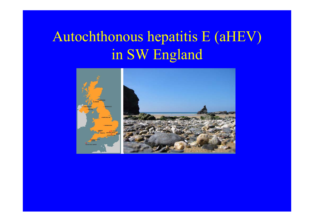## Autochthonous hepatitis E (aHEV) in SW England

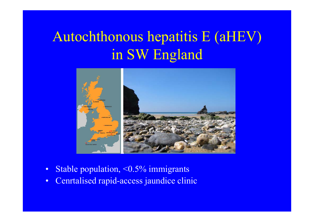## Autochthonous hepatitis E (aHEV) in SW England



- •Stable population, <0.5% immigrants
- •Cenrtalised rapid-access jaundice clinic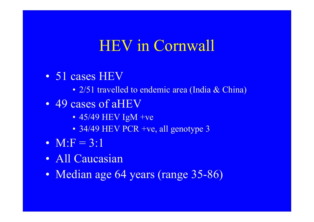### HEV in Cornwall

- 51 cases HEV
	- 2/51 travelled to endemic area (India & China)
- 49 cases of aHEV
	- 45/49 HEV IgM +ve
	- 34/49 HEV PCR +ve, all genotype 3
- $M: F = 3:1$
- All Caucasian
- Median age 64 years (range 35-86)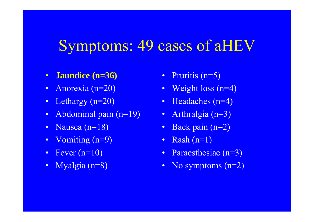#### Symptoms: 49 cases of aHEV

- $\bullet$ **Jaundice (n=36)**
- $\bullet$ Anorexia (n=20)
- $\bullet$ Lethargy (n=20)
- $\bullet$ Abdominal pain (n=19)
- $\bullet$ Nausea (n=18)
- $\bullet$ Vomiting (n=9)
- Fever  $(n=10)$
- $\bullet$ Myalgia (n=8)
- $\bullet$ Pruritis (n=5)
- $\bullet$ Weight loss (n=4)
- •Headaches (n=4)
- $\bullet$ Arthralgia (n=3)
- •Back pain (n=2)
- $\bullet$ Rash  $(n=1)$
- $\bullet$ Paraesthesiae (n=3)
- $\bullet$ No symptoms (n=2)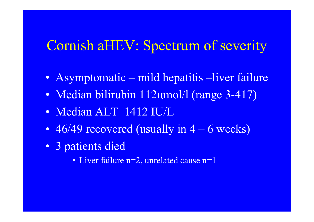#### Cornish aHEV: Spectrum of severity

- Asymptomatic mild hepatitis –liver failure
- Median bilirubin 112цmol/l (range 3-417)
- Median ALT 1412 IU/L
- 46/49 recovered (usually in 4 6 weeks)
- 3 patients died
	- Liver failure n=2, unrelated cause n=1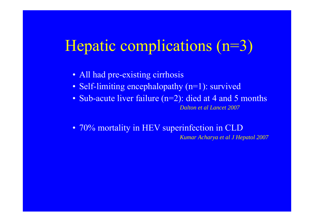## Hepatic complications (n=3)

- All had pre-existing cirrhosis
- Self-limiting encephalopathy (n=1): survived
- Sub-acute liver failure (n=2): died at 4 and 5 months *Dalton et al Lancet 2007*
- 70% mortality in HEV superinfection in CLD *Kumar Acharya et al J Hepatol 2007*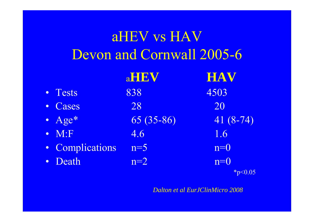| aHEV vs HAV<br><b>Devon and Cornwall 2005-6</b> |             |            |
|-------------------------------------------------|-------------|------------|
|                                                 | aHEV        | <b>HAV</b> |
| • Tests                                         | 838         | 4503       |
| • Cases                                         | 28          | 20         |
| • $Age*$                                        | $65(35-86)$ | $41(8-74)$ |
| $\bullet$ M:F                                   | 4.6         | 1.6        |
| • Complications                                 | $n=5$       | $n=0$      |
| • Death                                         | $n=2$       | $n=0$      |
|                                                 |             | $*p<0.05$  |

•

•

•

•

•

•

*Dalton et al EurJClinMicro 2008*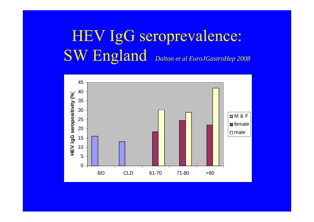# HEV IgG seroprevalence: SW England *Dalton et al EuroJGastroHep 2008*

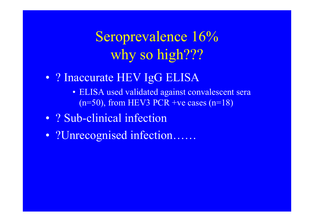## Seroprevalence 16% why so high???

- ? Inaccurate HEV IgG ELISA
	- ELISA used validated against convalescent sera  $(n=50)$ , from HEV3 PCR +ve cases  $(n=18)$
- ? Sub-clinical infection
- ?Unrecognised infection……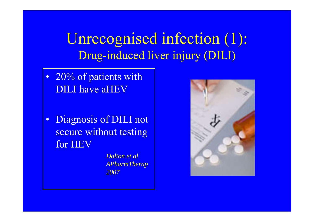Unrecognised infection (1): Drug-induced liver injury (DILI)

- 20% of patients with DILI have aHEV
- • Diagnosis of DILI not secure without testing for HEV

*Dalton et al APharmTherap 2007*

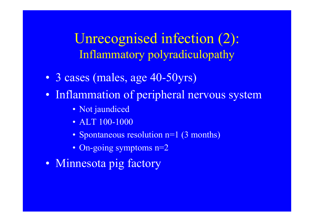Unrecognised infection (2): Inflammatory polyradiculopathy

- 3 cases (males, age 40-50yrs)
- Inflammation of peripheral nervous system
	- Not jaundiced
	- ALT 100-1000
	- Spontaneous resolution n=1 (3 months)
	- On-going symptoms n=2
- Minnesota pig factory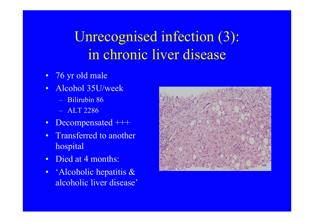# Unrecognised infection (3): in chronic liver disease

- 76 yr old male
- • Alcohol 35U/week
	- Bilirubin 86
	- ALT 2286
- $\bullet$ Decompensated +++
- • Transferred to another hospital
- •Died at 4 months:
- • 'Alcoholic hepatitis & alcoholic liver disease'

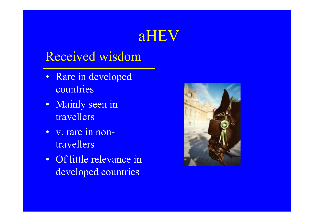#### aHEV

#### Received wisdom

- •Rare in developed countries
- Mainly seen in travellers
- $\bullet$  v. rare in nontravellers
- Of little relevance in developed countries

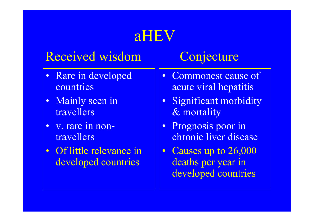# aHEV

#### Received wisdom

- Rare in developed countries
- Mainly seen in travellers
- v. rare in nontravellers
- Of little relevance in developed countries

#### **Conjecture**

- Commonest cause of acute viral hepatitis
- Significant morbidity & mortality
- Prognosis poor in chronic liver disease
- Causes up to 26,000 deaths per year in developed countries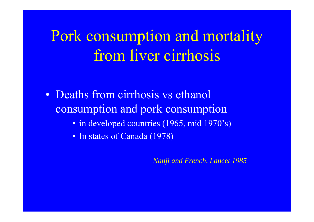Pork consumption and mortality from liver cirrhosis

- Deaths from cirrhosis vs ethanol consumption and pork consumption
	- in developed countries (1965, mid 1970's)
	- In states of Canada (1978)

*Nanji and French, Lancet 1985*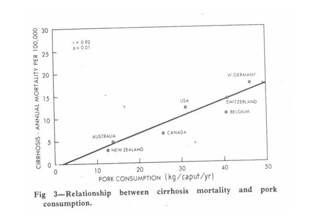

ST.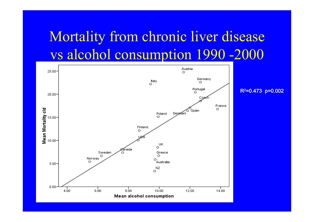#### Mortality from chronic liver disease vs alcohol consumption 1990 -2000

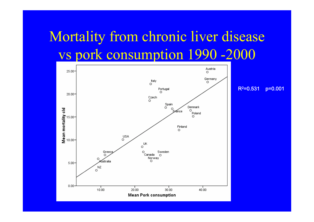## Mortality from chronic liver disease vs pork consumption 1990 -2000

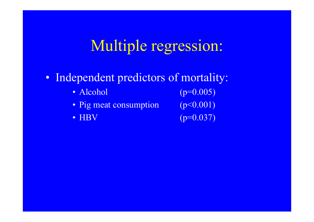## Multiple regression:

- Independent predictors of mortality:
	- Alcohol  $(p=0.005)$
	- Pig meat consumption (p<0.001)
	- HBV

 $(p=0.037)$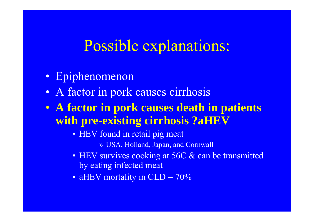#### Possible explanations:

- Epiphenomenon
- A factor in pork causes cirrhosis
- **A factor in pork causes death in patients with pre-existing cirrhosis ?aHEV**
	- HEV found in retail pig meat
		- » USA, Holland, Japan, and Cornwall
	- HEV survives cooking at 56C & can be transmitted by eating infected meat
	- aHEV mortality in CLD =  $70\%$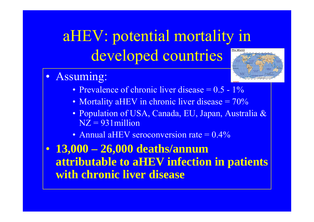#### aHEV: potential mortality in The World developed countries

- • Assuming:
	- Prevalence of chronic liver disease  $= 0.5 1\%$
	- Mortality aHEV in chronic liver disease =  $70\%$
	- Population of USA, Canada, EU, Japan, Australia &  $NZ = 931$  million
	- Annual aHEV seroconversion rate = 0.4%

#### • **13,000 – 26,000 deaths/annum attributable to aHEV infection in patients with chronic liver disease**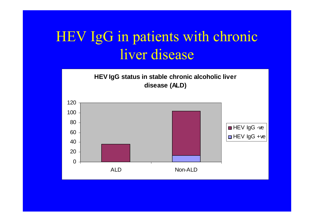### HEV IgG in patients with chronic liver disease

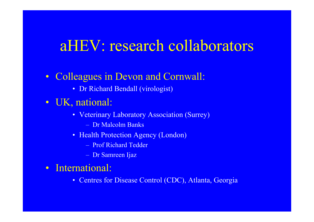#### aHEV: research collaborators

- Colleagues in Devon and Cornwall:
	- Dr Richard Bendall (virologist)
- UK, national:
	- Veterinary Laboratory Association (Surrey)
		- Dr Malcolm Banks
	- Health Protection Agency (London)
		- Prof Richard Tedder
		- Dr Samreen Ijaz
- International:
	- Centres for Disease Control (CDC), Atlanta, Georgia